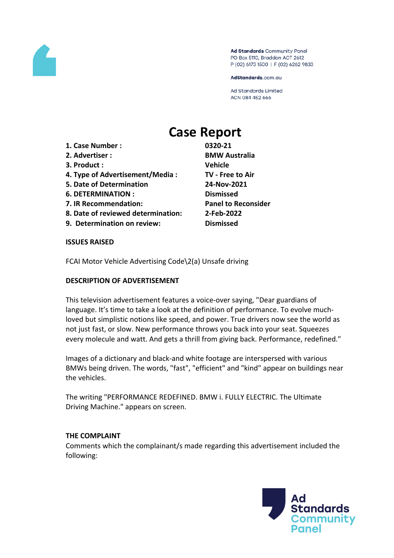

Ad Standards Community Panel PO Box 5110, Braddon ACT 2612 P (02) 6173 1500 | F (02) 6262 9833

AdStandards.com.au

Ad Standards Limited ACN 084 452 666

# **Case Report**

- **1. Case Number : 0320-21**
- 
- **3. Product : Vehicle**
- **4. Type of Advertisement/Media : TV - Free to Air**
- **5. Date of Determination 24-Nov-2021**
- **6. DETERMINATION : Dismissed**
- **7. IR Recommendation: Panel to Reconsider**
- **8. Date of reviewed determination: 2-Feb-2022**
- **9. Determination on review: Dismissed**

**2. Advertiser : BMW Australia**

# **ISSUES RAISED**

FCAI Motor Vehicle Advertising Code\2(a) Unsafe driving

# **DESCRIPTION OF ADVERTISEMENT**

This television advertisement features a voice-over saying, "Dear guardians of language. It's time to take a look at the definition of performance. To evolve muchloved but simplistic notions like speed, and power. True drivers now see the world as not just fast, or slow. New performance throws you back into your seat. Squeezes every molecule and watt. And gets a thrill from giving back. Performance, redefined."

Images of a dictionary and black-and white footage are interspersed with various BMWs being driven. The words, "fast", "efficient" and "kind" appear on buildings near the vehicles.

The writing "PERFORMANCE REDEFINED. BMW i. FULLY ELECTRIC. The Ultimate Driving Machine." appears on screen.

# **THE COMPLAINT**

Comments which the complainant/s made regarding this advertisement included the following:

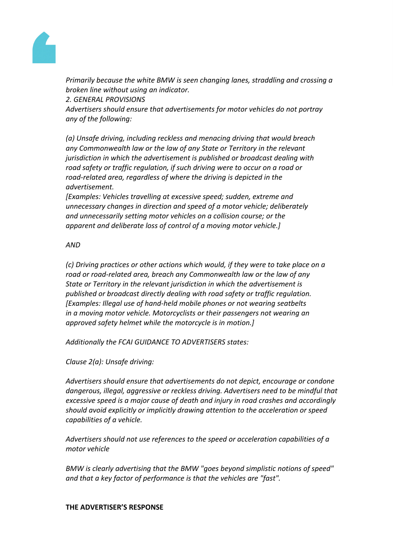

*Primarily because the white BMW is seen changing lanes, straddling and crossing a broken line without using an indicator.* 

*2. GENERAL PROVISIONS*

*Advertisers should ensure that advertisements for motor vehicles do not portray any of the following:*

*(a) Unsafe driving, including reckless and menacing driving that would breach any Commonwealth law or the law of any State or Territory in the relevant jurisdiction in which the advertisement is published or broadcast dealing with road safety or traffic regulation, if such driving were to occur on a road or road-related area, regardless of where the driving is depicted in the advertisement.*

*[Examples: Vehicles travelling at excessive speed; sudden, extreme and unnecessary changes in direction and speed of a motor vehicle; deliberately and unnecessarily setting motor vehicles on a collision course; or the apparent and deliberate loss of control of a moving motor vehicle.]*

*AND*

*(c) Driving practices or other actions which would, if they were to take place on a road or road-related area, breach any Commonwealth law or the law of any State or Territory in the relevant jurisdiction in which the advertisement is published or broadcast directly dealing with road safety or traffic regulation. [Examples: Illegal use of hand-held mobile phones or not wearing seatbelts in a moving motor vehicle. Motorcyclists or their passengers not wearing an approved safety helmet while the motorcycle is in motion.]*

*Additionally the FCAI GUIDANCE TO ADVERTISERS states:*

*Clause 2(a): Unsafe driving:*

*Advertisers should ensure that advertisements do not depict, encourage or condone dangerous, illegal, aggressive or reckless driving. Advertisers need to be mindful that excessive speed is a major cause of death and injury in road crashes and accordingly should avoid explicitly or implicitly drawing attention to the acceleration or speed capabilities of a vehicle.*

*Advertisers should not use references to the speed or acceleration capabilities of a motor vehicle*

*BMW is clearly advertising that the BMW "goes beyond simplistic notions of speed" and that a key factor of performance is that the vehicles are "fast".*

# **THE ADVERTISER'S RESPONSE**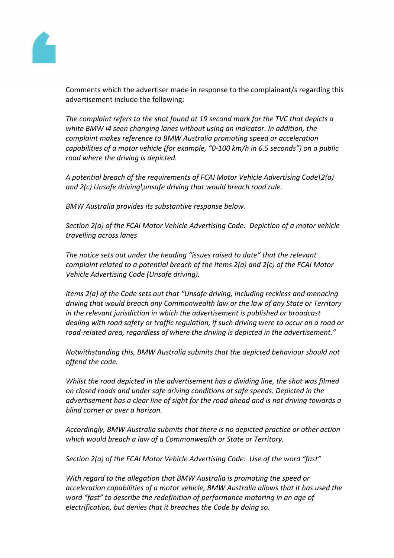

Comments which the advertiser made in response to the complainant/s regarding this advertisement include the following:

*The complaint refers to the shot found at 19 second mark for the TVC that depicts a white BMW i4 seen changing lanes without using an indicator. In addition, the complaint makes reference to BMW Australia promoting speed or acceleration capabilities of a motor vehicle (for example, "0-100 km/h in 6.5 seconds") on a public road where the driving is depicted.*

*A potential breach of the requirements of FCAI Motor Vehicle Advertising Code\2(a) and 2(c) Unsafe driving\unsafe driving that would breach road rule.*

*BMW Australia provides its substantive response below.*

*Section 2(a) of the FCAI Motor Vehicle Advertising Code: Depiction of a motor vehicle travelling across lanes*

*The notice sets out under the heading "issues raised to date" that the relevant complaint related to a potential breach of the items 2(a) and 2(c) of the FCAI Motor Vehicle Advertising Code (Unsafe driving).*

*Items 2(a) of the Code sets out that "Unsafe driving, including reckless and menacing driving that would breach any Commonwealth law or the law of any State or Territory in the relevant jurisdiction in which the advertisement is published or broadcast dealing with road safety or traffic regulation, if such driving were to occur on a road or road-related area, regardless of where the driving is depicted in the advertisement."*

*Notwithstanding this, BMW Australia submits that the depicted behaviour should not offend the code.*

*Whilst the road depicted in the advertisement has a dividing line, the shot was filmed on closed roads and under safe driving conditions at safe speeds. Depicted in the advertisement has a clear line of sight for the road ahead and is not driving towards a blind corner or over a horizon.*

*Accordingly, BMW Australia submits that there is no depicted practice or other action which would breach a law of a Commonwealth or State or Territory.*

*Section 2(a) of the FCAI Motor Vehicle Advertising Code: Use of the word "fast"*

*With regard to the allegation that BMW Australia is promoting the speed or acceleration capabilities of a motor vehicle, BMW Australia allows that it has used the word "fast" to describe the redefinition of performance motoring in an age of electrification, but denies that it breaches the Code by doing so.*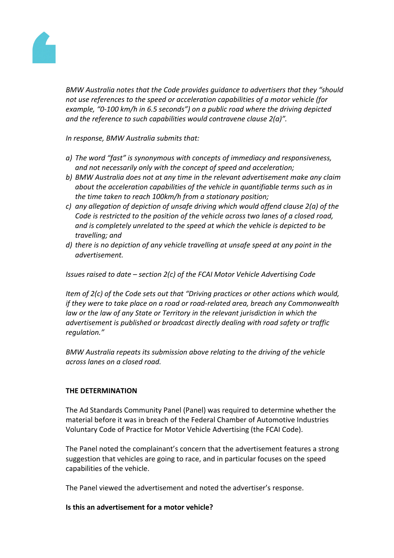

*BMW Australia notes that the Code provides guidance to advertisers that they "should not use references to the speed or acceleration capabilities of a motor vehicle (for example, "0-100 km/h in 6.5 seconds") on a public road where the driving depicted and the reference to such capabilities would contravene clause 2(a)".*

*In response, BMW Australia submits that:*

- *a) The word "fast" is synonymous with concepts of immediacy and responsiveness, and not necessarily only with the concept of speed and acceleration;*
- *b) BMW Australia does not at any time in the relevant advertisement make any claim about the acceleration capabilities of the vehicle in quantifiable terms such as in the time taken to reach 100km/h from a stationary position;*
- *c) any allegation of depiction of unsafe driving which would offend clause 2(a) of the Code is restricted to the position of the vehicle across two lanes of a closed road, and is completely unrelated to the speed at which the vehicle is depicted to be travelling; and*
- *d) there is no depiction of any vehicle travelling at unsafe speed at any point in the advertisement.*

*Issues raised to date – section 2(c) of the FCAI Motor Vehicle Advertising Code*

*Item of 2(c) of the Code sets out that "Driving practices or other actions which would, if they were to take place on a road or road-related area, breach any Commonwealth law or the law of any State or Territory in the relevant jurisdiction in which the advertisement is published or broadcast directly dealing with road safety or traffic regulation."*

*BMW Australia repeats its submission above relating to the driving of the vehicle across lanes on a closed road.*

#### **THE DETERMINATION**

The Ad Standards Community Panel (Panel) was required to determine whether the material before it was in breach of the Federal Chamber of Automotive Industries Voluntary Code of Practice for Motor Vehicle Advertising (the FCAI Code).

The Panel noted the complainant's concern that the advertisement features a strong suggestion that vehicles are going to race, and in particular focuses on the speed capabilities of the vehicle.

The Panel viewed the advertisement and noted the advertiser's response.

#### **Is this an advertisement for a motor vehicle?**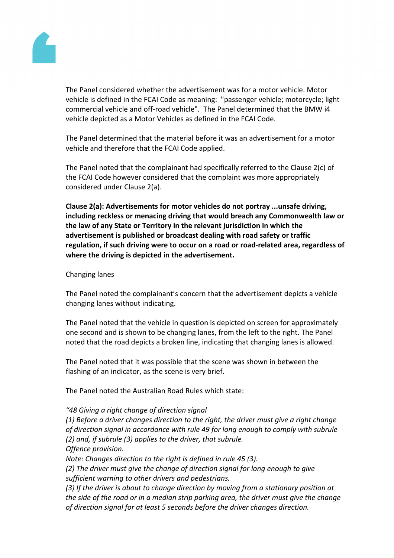

The Panel considered whether the advertisement was for a motor vehicle. Motor vehicle is defined in the FCAI Code as meaning: "passenger vehicle; motorcycle; light commercial vehicle and off-road vehicle". The Panel determined that the BMW i4 vehicle depicted as a Motor Vehicles as defined in the FCAI Code.

The Panel determined that the material before it was an advertisement for a motor vehicle and therefore that the FCAI Code applied.

The Panel noted that the complainant had specifically referred to the Clause 2(c) of the FCAI Code however considered that the complaint was more appropriately considered under Clause 2(a).

**Clause 2(a): Advertisements for motor vehicles do not portray ...unsafe driving, including reckless or menacing driving that would breach any Commonwealth law or the law of any State or Territory in the relevant jurisdiction in which the advertisement is published or broadcast dealing with road safety or traffic regulation, if such driving were to occur on a road or road-related area, regardless of where the driving is depicted in the advertisement.**

# Changing lanes

The Panel noted the complainant's concern that the advertisement depicts a vehicle changing lanes without indicating.

The Panel noted that the vehicle in question is depicted on screen for approximately one second and is shown to be changing lanes, from the left to the right. The Panel noted that the road depicts a broken line, indicating that changing lanes is allowed.

The Panel noted that it was possible that the scene was shown in between the flashing of an indicator, as the scene is very brief.

The Panel noted the Australian Road Rules which state:

# *"48 Giving a right change of direction signal*

*(1) Before a driver changes direction to the right, the driver must give a right change of direction signal in accordance with rule 49 for long enough to comply with subrule (2) and, if subrule (3) applies to the driver, that subrule. Offence provision.*

*Note: Changes direction to the right is defined in rule 45 (3).*

*(2) The driver must give the change of direction signal for long enough to give sufficient warning to other drivers and pedestrians.*

*(3) If the driver is about to change direction by moving from a stationary position at the side of the road or in a median strip parking area, the driver must give the change of direction signal for at least 5 seconds before the driver changes direction.*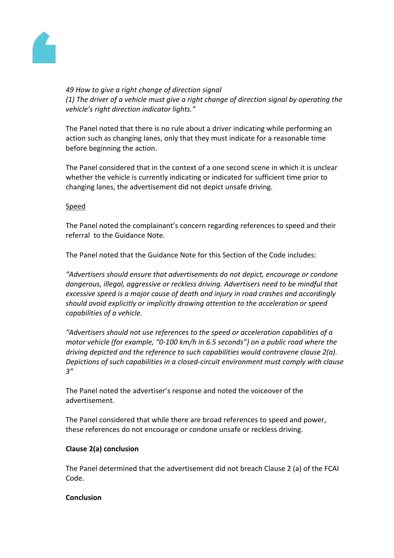

*49 How to give a right change of direction signal (1) The driver of a vehicle must give a right change of direction signal by operating the vehicle's right direction indicator lights."*

The Panel noted that there is no rule about a driver indicating while performing an action such as changing lanes, only that they must indicate for a reasonable time before beginning the action.

The Panel considered that in the context of a one second scene in which it is unclear whether the vehicle is currently indicating or indicated for sufficient time prior to changing lanes, the advertisement did not depict unsafe driving.

# Speed

The Panel noted the complainant's concern regarding references to speed and their referral to the Guidance Note.

The Panel noted that the Guidance Note for this Section of the Code includes:

*"Advertisers should ensure that advertisements do not depict, encourage or condone dangerous, illegal, aggressive or reckless driving. Advertisers need to be mindful that excessive speed is a major cause of death and injury in road crashes and accordingly should avoid explicitly or implicitly drawing attention to the acceleration or speed capabilities of a vehicle.*

*"Advertisers should not use references to the speed or acceleration capabilities of a motor vehicle (for example, "0-100 km/h in 6.5 seconds") on a public road where the driving depicted and the reference to such capabilities would contravene clause 2(a). Depictions of such capabilities in a closed-circuit environment must comply with clause 3"*

The Panel noted the advertiser's response and noted the voiceover of the advertisement.

The Panel considered that while there are broad references to speed and power, these references do not encourage or condone unsafe or reckless driving.

# **Clause 2(a) conclusion**

The Panel determined that the advertisement did not breach Clause 2 (a) of the FCAI Code.

# **Conclusion**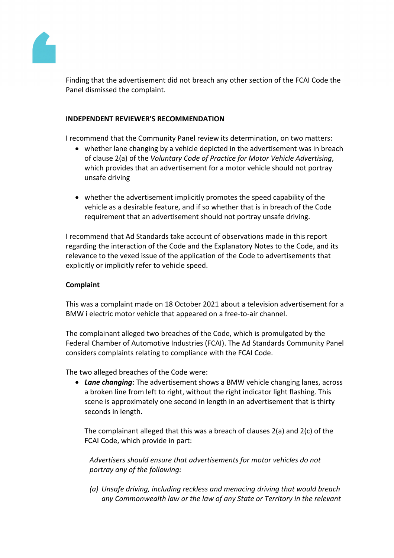

Finding that the advertisement did not breach any other section of the FCAI Code the Panel dismissed the complaint.

# **INDEPENDENT REVIEWER'S RECOMMENDATION**

I recommend that the Community Panel review its determination, on two matters:

- whether lane changing by a vehicle depicted in the advertisement was in breach of clause 2(a) of the *Voluntary Code of Practice for Motor Vehicle Advertising*, which provides that an advertisement for a motor vehicle should not portray unsafe driving
- whether the advertisement implicitly promotes the speed capability of the vehicle as a desirable feature, and if so whether that is in breach of the Code requirement that an advertisement should not portray unsafe driving.

I recommend that Ad Standards take account of observations made in this report regarding the interaction of the Code and the Explanatory Notes to the Code, and its relevance to the vexed issue of the application of the Code to advertisements that explicitly or implicitly refer to vehicle speed.

# **Complaint**

This was a complaint made on 18 October 2021 about a television advertisement for a BMW i electric motor vehicle that appeared on a free-to-air channel.

The complainant alleged two breaches of the Code, which is promulgated by the Federal Chamber of Automotive Industries (FCAI). The Ad Standards Community Panel considers complaints relating to compliance with the FCAI Code.

The two alleged breaches of the Code were:

 *Lane changing*: The advertisement shows a BMW vehicle changing lanes, across a broken line from left to right, without the right indicator light flashing. This scene is approximately one second in length in an advertisement that is thirty seconds in length.

The complainant alleged that this was a breach of clauses 2(a) and 2(c) of the FCAI Code, which provide in part:

*Advertisers should ensure that advertisements for motor vehicles do not portray any of the following:*

*(a) Unsafe driving, including reckless and menacing driving that would breach any Commonwealth law or the law of any State or Territory in the relevant*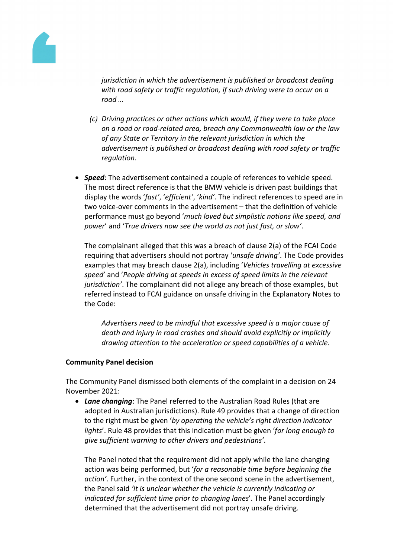

*jurisdiction in which the advertisement is published or broadcast dealing with road safety or traffic regulation, if such driving were to occur on a road …*

- *(c) Driving practices or other actions which would, if they were to take place on a road or road-related area, breach any Commonwealth law or the law of any State or Territory in the relevant jurisdiction in which the advertisement is published or broadcast dealing with road safety or traffic regulation.*
- *Speed*: The advertisement contained a couple of references to vehicle speed. The most direct reference is that the BMW vehicle is driven past buildings that display the words '*fast'*, '*efficient'*, '*kind'*. The indirect references to speed are in two voice-over comments in the advertisement – that the definition of vehicle performance must go beyond '*much loved but simplistic notions like speed, and power*' and '*True drivers now see the world as not just fast, or slow'*.

The complainant alleged that this was a breach of clause 2(a) of the FCAI Code requiring that advertisers should not portray '*unsafe driving'*. The Code provides examples that may breach clause 2(a), including '*Vehicles travelling at excessive speed*' and '*People driving at speeds in excess of speed limits in the relevant jurisdiction'*. The complainant did not allege any breach of those examples, but referred instead to FCAI guidance on unsafe driving in the Explanatory Notes to the Code:

*Advertisers need to be mindful that excessive speed is a major cause of death and injury in road crashes and should avoid explicitly or implicitly drawing attention to the acceleration or speed capabilities of a vehicle.*

# **Community Panel decision**

The Community Panel dismissed both elements of the complaint in a decision on 24 November 2021:

 *Lane changing*: The Panel referred to the Australian Road Rules (that are adopted in Australian jurisdictions). Rule 49 provides that a change of direction to the right must be given '*by operating the vehicle's right direction indicator lights*'. Rule 48 provides that this indication must be given '*for long enough to give sufficient warning to other drivers and pedestrians'*.

The Panel noted that the requirement did not apply while the lane changing action was being performed, but '*for a reasonable time before beginning the action'*. Further, in the context of the one second scene in the advertisement, the Panel said *'it is unclear whether the vehicle is currently indicating or indicated for sufficient time prior to changing lanes*'. The Panel accordingly determined that the advertisement did not portray unsafe driving.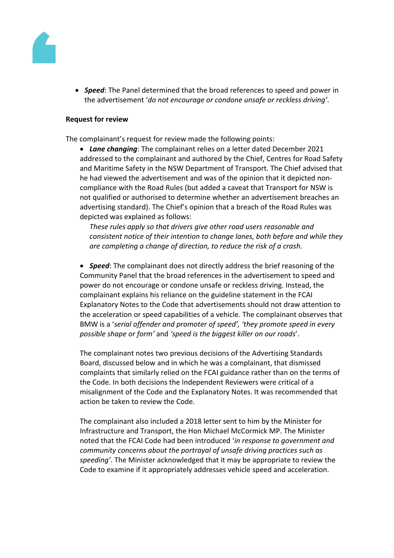

 *Speed*: The Panel determined that the broad references to speed and power in the advertisement '*do not encourage or condone unsafe or reckless driving'*.

#### **Request for review**

The complainant's request for review made the following points:

 *Lane changing*: The complainant relies on a letter dated December 2021 addressed to the complainant and authored by the Chief, Centres for Road Safety and Maritime Safety in the NSW Department of Transport. The Chief advised that he had viewed the advertisement and was of the opinion that it depicted noncompliance with the Road Rules (but added a caveat that Transport for NSW is not qualified or authorised to determine whether an advertisement breaches an advertising standard). The Chief's opinion that a breach of the Road Rules was depicted was explained as follows:

*These rules apply so that drivers give other road users reasonable and consistent notice of their intention to change lanes, both before and while they are completing a change of direction, to reduce the risk of a crash*.

 *Speed*: The complainant does not directly address the brief reasoning of the Community Panel that the broad references in the advertisement to speed and power do not encourage or condone unsafe or reckless driving. Instead, the complainant explains his reliance on the guideline statement in the FCAI Explanatory Notes to the Code that advertisements should not draw attention to the acceleration or speed capabilities of a vehicle. The complainant observes that BMW is a '*serial offender and promoter of speed', 'they promote speed in every possible shape or form'* and *'speed is the biggest killer on our roads*'.

The complainant notes two previous decisions of the Advertising Standards Board, discussed below and in which he was a complainant, that dismissed complaints that similarly relied on the FCAI guidance rather than on the terms of the Code. In both decisions the Independent Reviewers were critical of a misalignment of the Code and the Explanatory Notes. It was recommended that action be taken to review the Code.

The complainant also included a 2018 letter sent to him by the Minister for Infrastructure and Transport, the Hon Michael McCormick MP. The Minister noted that the FCAI Code had been introduced '*in response to government and community concerns about the portrayal of unsafe driving practices such as speeding'*. The Minister acknowledged that it may be appropriate to review the Code to examine if it appropriately addresses vehicle speed and acceleration.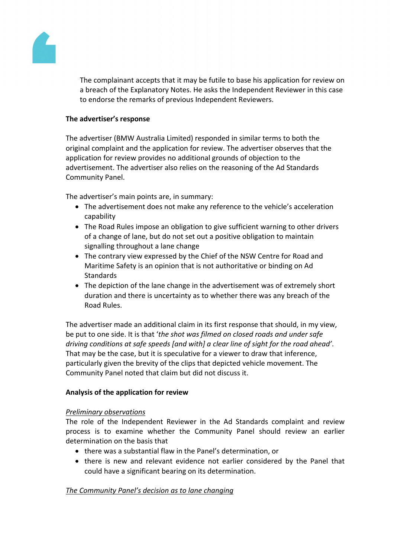

The complainant accepts that it may be futile to base his application for review on a breach of the Explanatory Notes. He asks the Independent Reviewer in this case to endorse the remarks of previous Independent Reviewers.

# **The advertiser's response**

The advertiser (BMW Australia Limited) responded in similar terms to both the original complaint and the application for review. The advertiser observes that the application for review provides no additional grounds of objection to the advertisement. The advertiser also relies on the reasoning of the Ad Standards Community Panel.

The advertiser's main points are, in summary:

- The advertisement does not make any reference to the vehicle's acceleration capability
- The Road Rules impose an obligation to give sufficient warning to other drivers of a change of lane, but do not set out a positive obligation to maintain signalling throughout a lane change
- The contrary view expressed by the Chief of the NSW Centre for Road and Maritime Safety is an opinion that is not authoritative or binding on Ad **Standards**
- The depiction of the lane change in the advertisement was of extremely short duration and there is uncertainty as to whether there was any breach of the Road Rules.

The advertiser made an additional claim in its first response that should, in my view, be put to one side. It is that '*the shot was filmed on closed roads and under safe driving conditions at safe speeds [and with] a clear line of sight for the road ahead'*. That may be the case, but it is speculative for a viewer to draw that inference, particularly given the brevity of the clips that depicted vehicle movement. The Community Panel noted that claim but did not discuss it.

# **Analysis of the application for review**

# *Preliminary observations*

The role of the Independent Reviewer in the Ad Standards complaint and review process is to examine whether the Community Panel should review an earlier determination on the basis that

- there was a substantial flaw in the Panel's determination, or
- there is new and relevant evidence not earlier considered by the Panel that could have a significant bearing on its determination.

# *The Community Panel's decision as to lane changing*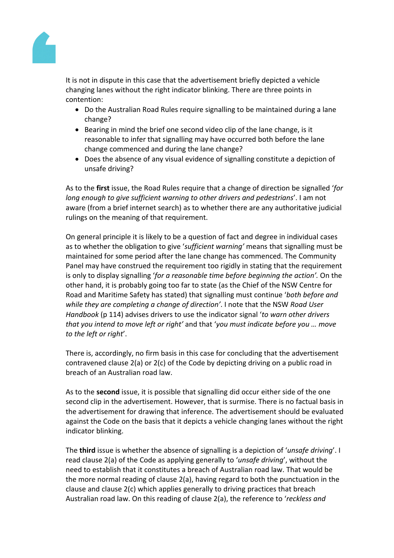

It is not in dispute in this case that the advertisement briefly depicted a vehicle changing lanes without the right indicator blinking. There are three points in contention:

- Do the Australian Road Rules require signalling to be maintained during a lane change?
- Bearing in mind the brief one second video clip of the lane change, is it reasonable to infer that signalling may have occurred both before the lane change commenced and during the lane change?
- Does the absence of any visual evidence of signalling constitute a depiction of unsafe driving?

As to the **first** issue, the Road Rules require that a change of direction be signalled '*for long enough to give sufficient warning to other drivers and pedestrians*'. I am not aware (from a brief internet search) as to whether there are any authoritative judicial rulings on the meaning of that requirement.

On general principle it is likely to be a question of fact and degree in individual cases as to whether the obligation to give '*sufficient warning'* means that signalling must be maintained for some period after the lane change has commenced. The Community Panel may have construed the requirement too rigidly in stating that the requirement is only to display signalling '*for a reasonable time before beginning the action'.* On the other hand, it is probably going too far to state (as the Chief of the NSW Centre for Road and Maritime Safety has stated) that signalling must continue '*both before and while they are completing a change of direction'*. I note that the NSW *Road User Handbook* (p 114) advises drivers to use the indicator signal '*to warn other drivers that you intend to move left or right'* and that '*you must indicate before you … move to the left or right*'.

There is, accordingly, no firm basis in this case for concluding that the advertisement contravened clause 2(a) or 2(c) of the Code by depicting driving on a public road in breach of an Australian road law.

As to the **second** issue, it is possible that signalling did occur either side of the one second clip in the advertisement. However, that is surmise. There is no factual basis in the advertisement for drawing that inference. The advertisement should be evaluated against the Code on the basis that it depicts a vehicle changing lanes without the right indicator blinking.

The **third** issue is whether the absence of signalling is a depiction of '*unsafe driving*'. I read clause 2(a) of the Code as applying generally to '*unsafe driving*', without the need to establish that it constitutes a breach of Australian road law. That would be the more normal reading of clause 2(a), having regard to both the punctuation in the clause and clause 2(c) which applies generally to driving practices that breach Australian road law. On this reading of clause 2(a), the reference to '*reckless and*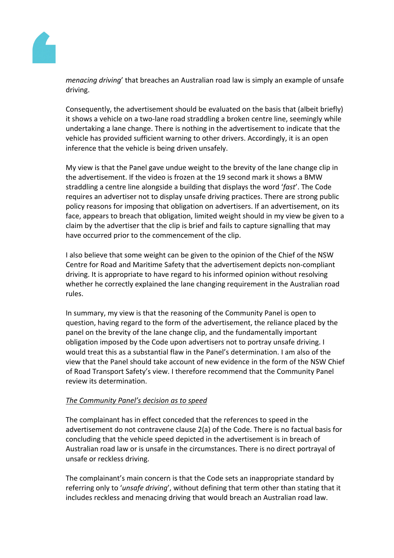

*menacing driving*' that breaches an Australian road law is simply an example of unsafe driving.

Consequently, the advertisement should be evaluated on the basis that (albeit briefly) it shows a vehicle on a two-lane road straddling a broken centre line, seemingly while undertaking a lane change. There is nothing in the advertisement to indicate that the vehicle has provided sufficient warning to other drivers. Accordingly, it is an open inference that the vehicle is being driven unsafely.

My view is that the Panel gave undue weight to the brevity of the lane change clip in the advertisement. If the video is frozen at the 19 second mark it shows a BMW straddling a centre line alongside a building that displays the word '*fast*'. The Code requires an advertiser not to display unsafe driving practices. There are strong public policy reasons for imposing that obligation on advertisers. If an advertisement, on its face, appears to breach that obligation, limited weight should in my view be given to a claim by the advertiser that the clip is brief and fails to capture signalling that may have occurred prior to the commencement of the clip.

I also believe that some weight can be given to the opinion of the Chief of the NSW Centre for Road and Maritime Safety that the advertisement depicts non-compliant driving. It is appropriate to have regard to his informed opinion without resolving whether he correctly explained the lane changing requirement in the Australian road rules.

In summary, my view is that the reasoning of the Community Panel is open to question, having regard to the form of the advertisement, the reliance placed by the panel on the brevity of the lane change clip, and the fundamentally important obligation imposed by the Code upon advertisers not to portray unsafe driving. I would treat this as a substantial flaw in the Panel's determination. I am also of the view that the Panel should take account of new evidence in the form of the NSW Chief of Road Transport Safety's view. I therefore recommend that the Community Panel review its determination.

# *The Community Panel's decision as to speed*

The complainant has in effect conceded that the references to speed in the advertisement do not contravene clause 2(a) of the Code. There is no factual basis for concluding that the vehicle speed depicted in the advertisement is in breach of Australian road law or is unsafe in the circumstances. There is no direct portrayal of unsafe or reckless driving.

The complainant's main concern is that the Code sets an inappropriate standard by referring only to '*unsafe driving*', without defining that term other than stating that it includes reckless and menacing driving that would breach an Australian road law.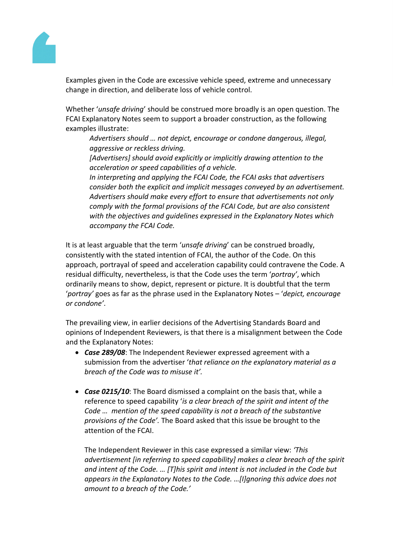

Examples given in the Code are excessive vehicle speed, extreme and unnecessary change in direction, and deliberate loss of vehicle control.

Whether '*unsafe driving*' should be construed more broadly is an open question. The FCAI Explanatory Notes seem to support a broader construction, as the following examples illustrate:

*Advertisers should … not depict, encourage or condone dangerous, illegal, aggressive or reckless driving.*

*[Advertisers] should avoid explicitly or implicitly drawing attention to the acceleration or speed capabilities of a vehicle.*

*In interpreting and applying the FCAI Code, the FCAI asks that advertisers consider both the explicit and implicit messages conveyed by an advertisement. Advertisers should make every effort to ensure that advertisements not only comply with the formal provisions of the FCAI Code, but are also consistent with the objectives and guidelines expressed in the Explanatory Notes which accompany the FCAI Code.*

It is at least arguable that the term '*unsafe driving*' can be construed broadly, consistently with the stated intention of FCAI, the author of the Code. On this approach, portrayal of speed and acceleration capability could contravene the Code. A residual difficulty, nevertheless, is that the Code uses the term '*portray'*, which ordinarily means to show, depict, represent or picture. It is doubtful that the term '*portray'* goes as far as the phrase used in the Explanatory Notes – '*depict, encourage or condone'*.

The prevailing view, in earlier decisions of the Advertising Standards Board and opinions of Independent Reviewers, is that there is a misalignment between the Code and the Explanatory Notes:

- *Case 289/08*: The Independent Reviewer expressed agreement with a submission from the advertiser '*that reliance on the explanatory material as a breach of the Code was to misuse it'.*
- *Case 0215/10*: The Board dismissed a complaint on the basis that, while a reference to speed capability '*is a clear breach of the spirit and intent of the Code … mention of the speed capability is not a breach of the substantive provisions of the Code'.* The Board asked that this issue be brought to the attention of the FCAI.

The Independent Reviewer in this case expressed a similar view: *'This advertisement [in referring to speed capability] makes a clear breach of the spirit and intent of the Code. … [T]his spirit and intent is not included in the Code but appears in the Explanatory Notes to the Code. …[I]gnoring this advice does not amount to a breach of the Code.'*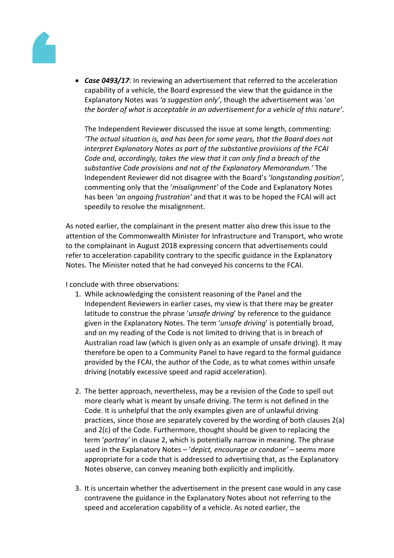

 *Case 0493/17*: In reviewing an advertisement that referred to the acceleration capability of a vehicle, the Board expressed the view that the guidance in the Explanatory Notes was *'a suggestion only'*, though the advertisement was '*on the border of what is acceptable in an advertisement for a vehicle of this nature'*.

The Independent Reviewer discussed the issue at some length, commenting: *'The actual situation is, and has been for some years, that the Board does not interpret Explanatory Notes as part of the substantive provisions of the FCAI Code and, accordingly, takes the view that it can only find a breach of the substantive Code provisions and not of the Explanatory Memorandum.'* The Independent Reviewer did not disagree with the Board's '*longstanding position'*, commenting only that the '*misalignment'* of the Code and Explanatory Notes has been '*an ongoing frustration'* and that it was to be hoped the FCAI will act speedily to resolve the misalignment.

As noted earlier, the complainant in the present matter also drew this issue to the attention of the Commonwealth Minister for Infrastructure and Transport, who wrote to the complainant in August 2018 expressing concern that advertisements could refer to acceleration capability contrary to the specific guidance in the Explanatory Notes. The Minister noted that he had conveyed his concerns to the FCAI.

I conclude with three observations:

- 1. While acknowledging the consistent reasoning of the Panel and the Independent Reviewers in earlier cases, my view is that there may be greater latitude to construe the phrase '*unsafe driving*' by reference to the guidance given in the Explanatory Notes. The term '*unsafe driving*' is potentially broad, and on my reading of the Code is not limited to driving that is in breach of Australian road law (which is given only as an example of unsafe driving). It may therefore be open to a Community Panel to have regard to the formal guidance provided by the FCAI, the author of the Code, as to what comes within unsafe driving (notably excessive speed and rapid acceleration).
- 2. The better approach, nevertheless, may be a revision of the Code to spell out more clearly what is meant by unsafe driving. The term is not defined in the Code. It is unhelpful that the only examples given are of unlawful driving practices, since those are separately covered by the wording of both clauses 2(a) and 2(c) of the Code. Furthermore, thought should be given to replacing the term '*portray'* in clause 2, which is potentially narrow in meaning. The phrase used in the Explanatory Notes – '*depict, encourage or condone'* – seems more appropriate for a code that is addressed to advertising that, as the Explanatory Notes observe, can convey meaning both explicitly and implicitly.
- 3. It is uncertain whether the advertisement in the present case would in any case contravene the guidance in the Explanatory Notes about not referring to the speed and acceleration capability of a vehicle. As noted earlier, the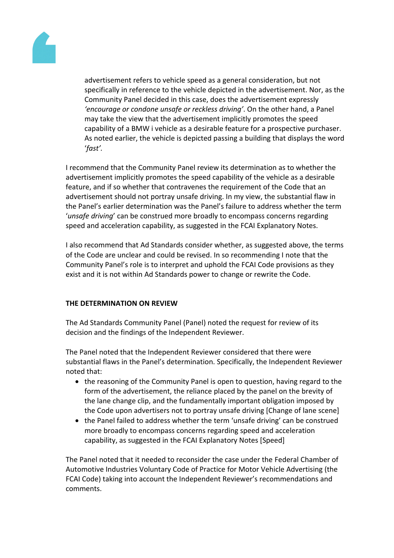![](_page_14_Picture_0.jpeg)

advertisement refers to vehicle speed as a general consideration, but not specifically in reference to the vehicle depicted in the advertisement. Nor, as the Community Panel decided in this case, does the advertisement expressly *'encourage or condone unsafe or reckless driving'*. On the other hand, a Panel may take the view that the advertisement implicitly promotes the speed capability of a BMW i vehicle as a desirable feature for a prospective purchaser. As noted earlier, the vehicle is depicted passing a building that displays the word '*fast'.*

I recommend that the Community Panel review its determination as to whether the advertisement implicitly promotes the speed capability of the vehicle as a desirable feature, and if so whether that contravenes the requirement of the Code that an advertisement should not portray unsafe driving. In my view, the substantial flaw in the Panel's earlier determination was the Panel's failure to address whether the term '*unsafe driving*' can be construed more broadly to encompass concerns regarding speed and acceleration capability, as suggested in the FCAI Explanatory Notes.

I also recommend that Ad Standards consider whether, as suggested above, the terms of the Code are unclear and could be revised. In so recommending I note that the Community Panel's role is to interpret and uphold the FCAI Code provisions as they exist and it is not within Ad Standards power to change or rewrite the Code.

# **THE DETERMINATION ON REVIEW**

The Ad Standards Community Panel (Panel) noted the request for review of its decision and the findings of the Independent Reviewer.

The Panel noted that the Independent Reviewer considered that there were substantial flaws in the Panel's determination. Specifically, the Independent Reviewer noted that:

- the reasoning of the Community Panel is open to question, having regard to the form of the advertisement, the reliance placed by the panel on the brevity of the lane change clip, and the fundamentally important obligation imposed by the Code upon advertisers not to portray unsafe driving [Change of lane scene]
- the Panel failed to address whether the term 'unsafe driving' can be construed more broadly to encompass concerns regarding speed and acceleration capability, as suggested in the FCAI Explanatory Notes [Speed]

The Panel noted that it needed to reconsider the case under the Federal Chamber of Automotive Industries Voluntary Code of Practice for Motor Vehicle Advertising (the FCAI Code) taking into account the Independent Reviewer's recommendations and comments.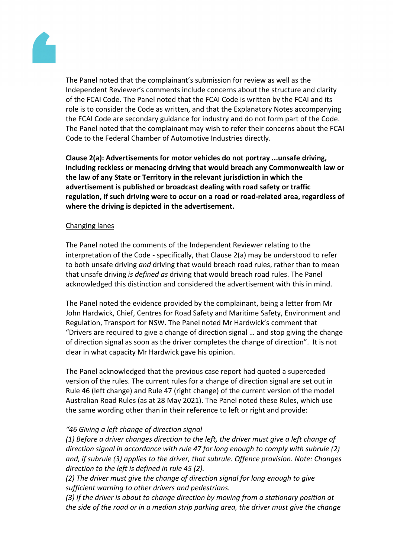![](_page_15_Picture_0.jpeg)

The Panel noted that the complainant's submission for review as well as the Independent Reviewer's comments include concerns about the structure and clarity of the FCAI Code. The Panel noted that the FCAI Code is written by the FCAI and its role is to consider the Code as written, and that the Explanatory Notes accompanying the FCAI Code are secondary guidance for industry and do not form part of the Code. The Panel noted that the complainant may wish to refer their concerns about the FCAI Code to the Federal Chamber of Automotive Industries directly.

**Clause 2(a): Advertisements for motor vehicles do not portray ...unsafe driving, including reckless or menacing driving that would breach any Commonwealth law or the law of any State or Territory in the relevant jurisdiction in which the advertisement is published or broadcast dealing with road safety or traffic regulation, if such driving were to occur on a road or road-related area, regardless of where the driving is depicted in the advertisement.**

# Changing lanes

The Panel noted the comments of the Independent Reviewer relating to the interpretation of the Code - specifically, that Clause 2(a) may be understood to refer to both unsafe driving *and* driving that would breach road rules, rather than to mean that unsafe driving *is defined as* driving that would breach road rules. The Panel acknowledged this distinction and considered the advertisement with this in mind.

The Panel noted the evidence provided by the complainant, being a letter from Mr John Hardwick, Chief, Centres for Road Safety and Maritime Safety, Environment and Regulation, Transport for NSW. The Panel noted Mr Hardwick's comment that "Drivers are required to give a change of direction signal … and stop giving the change of direction signal as soon as the driver completes the change of direction". It is not clear in what capacity Mr Hardwick gave his opinion.

The Panel acknowledged that the previous case report had quoted a superceded version of the rules. The current rules for a change of direction signal are set out in Rule 46 (left change) and Rule 47 (right change) of the current version of the model Australian Road Rules (as at 28 May 2021). The Panel noted these Rules, which use the same wording other than in their reference to left or right and provide:

# *"46 Giving a left change of direction signal*

*(1) Before a driver changes direction to the left, the driver must give a left change of direction signal in accordance with rule 47 for long enough to comply with subrule (2) and, if subrule (3) applies to the driver, that subrule. Offence provision. Note: Changes direction to the left is defined in rule 45 (2).*

*(2) The driver must give the change of direction signal for long enough to give sufficient warning to other drivers and pedestrians.*

*(3) If the driver is about to change direction by moving from a stationary position at the side of the road or in a median strip parking area, the driver must give the change*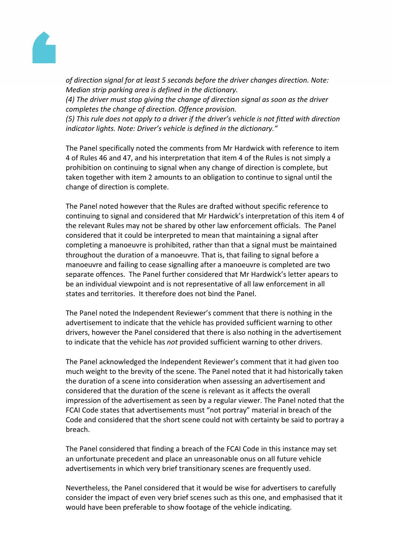![](_page_16_Picture_0.jpeg)

*of direction signal for at least 5 seconds before the driver changes direction. Note: Median strip parking area is defined in the dictionary.*

*(4) The driver must stop giving the change of direction signal as soon as the driver completes the change of direction. Offence provision.*

*(5) This rule does not apply to a driver if the driver's vehicle is not fitted with direction indicator lights. Note: Driver's vehicle is defined in the dictionary."*

The Panel specifically noted the comments from Mr Hardwick with reference to item 4 of Rules 46 and 47, and his interpretation that item 4 of the Rules is not simply a prohibition on continuing to signal when any change of direction is complete, but taken together with item 2 amounts to an obligation to continue to signal until the change of direction is complete.

The Panel noted however that the Rules are drafted without specific reference to continuing to signal and considered that Mr Hardwick's interpretation of this item 4 of the relevant Rules may not be shared by other law enforcement officials. The Panel considered that it could be interpreted to mean that maintaining a signal after completing a manoeuvre is prohibited, rather than that a signal must be maintained throughout the duration of a manoeuvre. That is, that failing to signal before a manoeuvre and failing to cease signalling after a manoeuvre is completed are two separate offences. The Panel further considered that Mr Hardwick's letter apears to be an individual viewpoint and is not representative of all law enforcement in all states and territories. It therefore does not bind the Panel.

The Panel noted the Independent Reviewer's comment that there is nothing in the advertisement to indicate that the vehicle has provided sufficient warning to other drivers, however the Panel considered that there is also nothing in the advertisement to indicate that the vehicle has *not* provided sufficient warning to other drivers.

The Panel acknowledged the Independent Reviewer's comment that it had given too much weight to the brevity of the scene. The Panel noted that it had historically taken the duration of a scene into consideration when assessing an advertisement and considered that the duration of the scene is relevant as it affects the overall impression of the advertisement as seen by a regular viewer. The Panel noted that the FCAI Code states that advertisements must "not portray" material in breach of the Code and considered that the short scene could not with certainty be said to portray a breach.

The Panel considered that finding a breach of the FCAI Code in this instance may set an unfortunate precedent and place an unreasonable onus on all future vehicle advertisements in which very brief transitionary scenes are frequently used.

Nevertheless, the Panel considered that it would be wise for advertisers to carefully consider the impact of even very brief scenes such as this one, and emphasised that it would have been preferable to show footage of the vehicle indicating.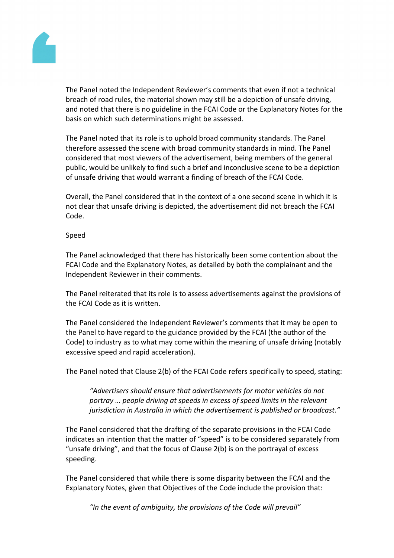![](_page_17_Picture_0.jpeg)

The Panel noted the Independent Reviewer's comments that even if not a technical breach of road rules, the material shown may still be a depiction of unsafe driving, and noted that there is no guideline in the FCAI Code or the Explanatory Notes for the basis on which such determinations might be assessed.

The Panel noted that its role is to uphold broad community standards. The Panel therefore assessed the scene with broad community standards in mind. The Panel considered that most viewers of the advertisement, being members of the general public, would be unlikely to find such a brief and inconclusive scene to be a depiction of unsafe driving that would warrant a finding of breach of the FCAI Code.

Overall, the Panel considered that in the context of a one second scene in which it is not clear that unsafe driving is depicted, the advertisement did not breach the FCAI Code.

# Speed

The Panel acknowledged that there has historically been some contention about the FCAI Code and the Explanatory Notes, as detailed by both the complainant and the Independent Reviewer in their comments.

The Panel reiterated that its role is to assess advertisements against the provisions of the FCAI Code as it is written.

The Panel considered the Independent Reviewer's comments that it may be open to the Panel to have regard to the guidance provided by the FCAI (the author of the Code) to industry as to what may come within the meaning of unsafe driving (notably excessive speed and rapid acceleration).

The Panel noted that Clause 2(b) of the FCAI Code refers specifically to speed, stating:

*"Advertisers should ensure that advertisements for motor vehicles do not portray … people driving at speeds in excess of speed limits in the relevant jurisdiction in Australia in which the advertisement is published or broadcast."*

The Panel considered that the drafting of the separate provisions in the FCAI Code indicates an intention that the matter of "speed" is to be considered separately from "unsafe driving", and that the focus of Clause 2(b) is on the portrayal of excess speeding.

The Panel considered that while there is some disparity between the FCAI and the Explanatory Notes, given that Objectives of the Code include the provision that:

*"In the event of ambiguity, the provisions of the Code will prevail"*